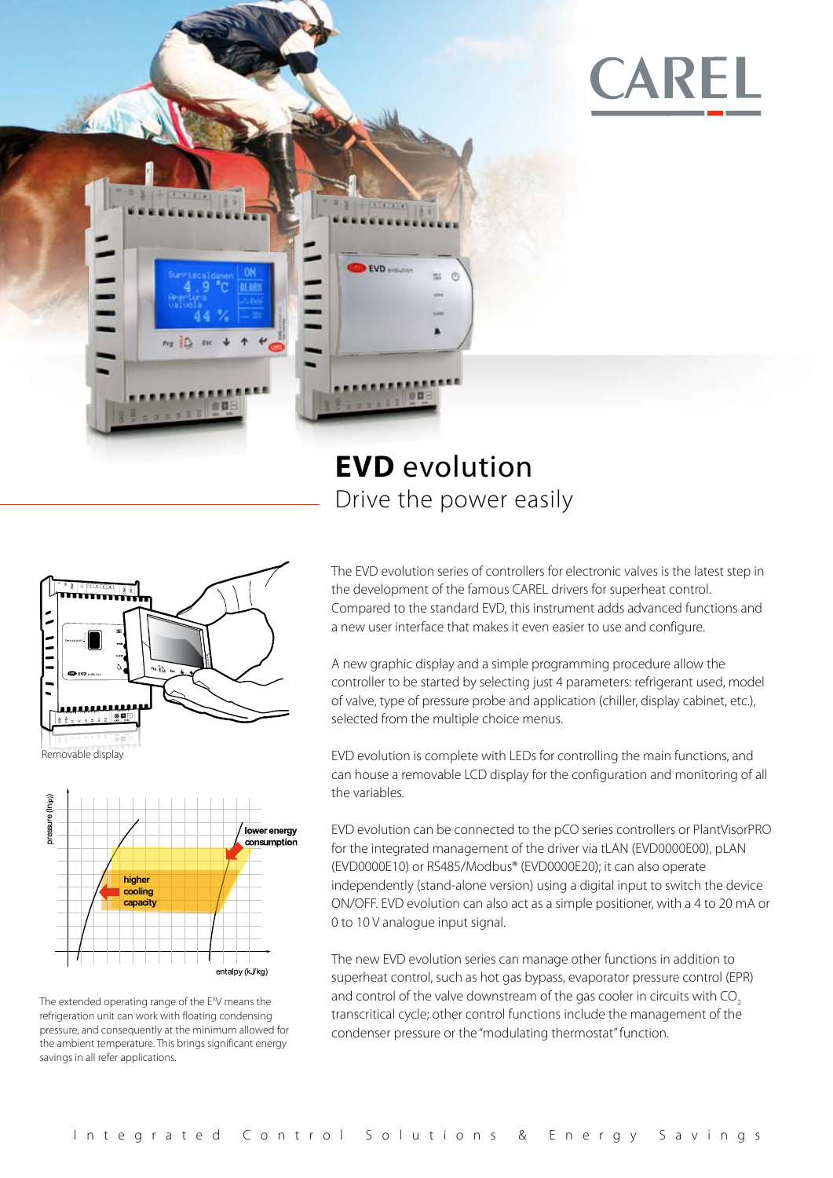

# **CAREL**

## **EVD** evolution Drive the power easily





The extended operating range of the E<sup>x</sup>V means the refrigeration unit can work with floating condensing pressure, and consequently at the minimum allowed for the ambient temperature. This brings significant energy savings in all refer applications.

The EVD evolution series of controllers for electronic valves is the latest step in the development of the famous CAREL drivers for superheat control. Compared to the standard EVD, this instrument adds advanced functions and a new user interface that makes it even easier to use and configure.

A new graphic display and a simple programming procedure allow the controller to be started by selecting just 4 parameters: refrigerant used, model of valve, type of pressure probe and application (chiller, display cabinet, etc.), selected from the multiple choice menus.

EVD evolution is complete with LEDs for controlling the main functions, and can house a removable LCD display for the configuration and monitoring of all the variables.

EVD evolution can be connected to the pCO series controllers or PlantVisorPRO for the integrated management of the driver via tLAN (EVD0000E00), pLAN (EVD0000E10) or RS485/Modbus® (EVD0000E20); it can also operate independently (stand-alone version) using a digital input to switch the device ON/OFF. EVD evolution can also act as a simple positioner, with a 4 to 20 mA or 0 to 10 V analogue input signal.

The new EVD evolution series can manage other functions in addition to superheat control, such as hot gas bypass, evaporator pressure control (EPR) and control of the valve downstream of the gas cooler in circuits with CO<sub>2</sub> transcritical cycle; other control functions include the management of the condenser pressure or the "modulating thermostat" function.